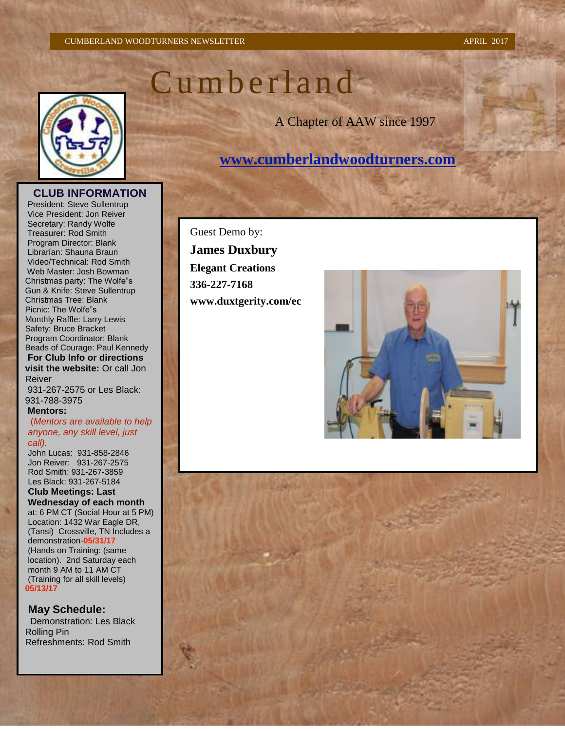#### CUMBERLAND WOODTURNERS NEWSLETTER APRIL 2017

# C u m b e r l a n d

A Chapter of AAW since 1997

# **[www.cumberlandwoodturners.com](http://www.cumberlandwoodturners.com/)**

President: Steve Sullentrup Vice President: Jon Reiver Secretary: Randy Wolfe Treasurer: Rod Smith Program Director: Blank Librarían: Shauna Braun Video/Technical: Rod Smith Web Master: Josh Bowman Christmas party: The Wolfe"s Gun & Knife: Steve Sullentrup Christmas Tree: Blank Picnic: The Wolfe"s Monthly Raffle: Larry Lewis Safety: Bruce Bracket Program Coordinator: Blank Beads of Courage: Paul Kennedy **For Club Info or directions visit the website:** Or call Jon Reiver

931-267-2575 or Les Black: 931-788-3975

#### **Mentors:**

(*Mentors are available to help anyone, any skill level, just call).*

John Lucas: 931-858-2846 Jon Reiver: 931-267-2575 Rod Smith: 931-267-3859 Les Black: 931-267-5184 **Club Meetings: Last Wednesday of each month** at: 6 PM CT (Social Hour at 5 PM) Location: 1432 War Eagle DR, (Tansi) Crossville, TN Includes a demonstration-**05/31/17** (Hands on Training: (same location). 2nd Saturday each month 9 AM to 11 AM CT (Training for all skill levels) **05/13/17**

**May Schedule:** Demonstration: Les Black Rolling Pin Refreshments: Rod Smith

Guest Demo by: **James Duxbury Elegant Creations 336-227-7168 www.duxtgerity.com/ec**







**CLUB INFORMATION**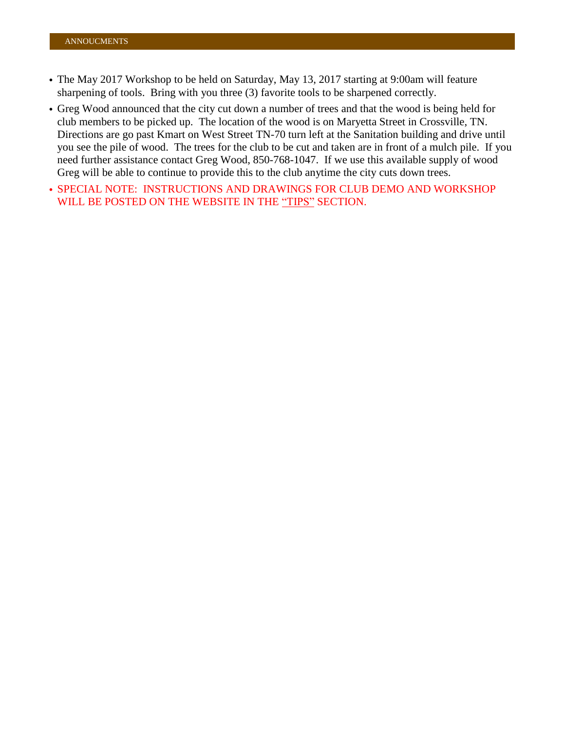- The May 2017 Workshop to be held on Saturday, May 13, 2017 starting at 9:00am will feature sharpening of tools. Bring with you three (3) favorite tools to be sharpened correctly.
- Greg Wood announced that the city cut down a number of trees and that the wood is being held for club members to be picked up. The location of the wood is on Maryetta Street in Crossville, TN. Directions are go past Kmart on West Street TN-70 turn left at the Sanitation building and drive until you see the pile of wood. The trees for the club to be cut and taken are in front of a mulch pile. If you need further assistance contact Greg Wood, 850-768-1047. If we use this available supply of wood Greg will be able to continue to provide this to the club anytime the city cuts down trees.
- SPECIAL NOTE: INSTRUCTIONS AND DRAWINGS FOR CLUB DEMO AND WORKSHOP WILL BE POSTED ON THE WEBSITE IN THE "TIPS" SECTION.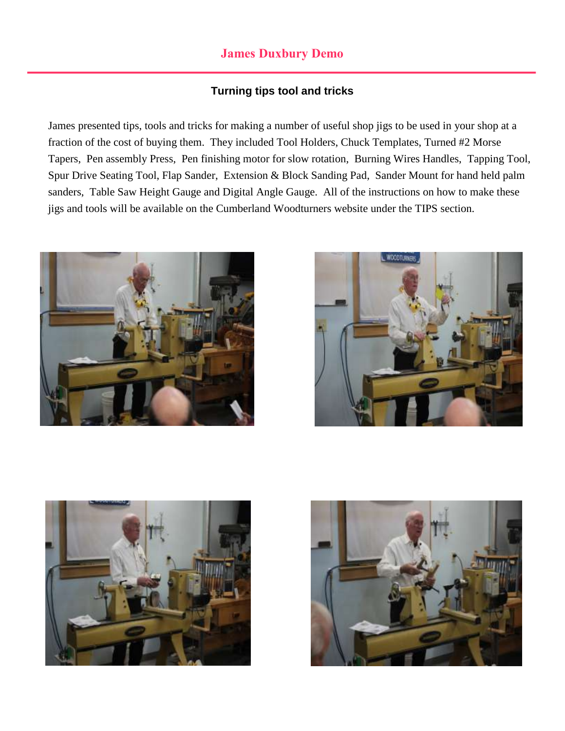## **James Duxbury Demo**

### **Turning tips tool and tricks**

James presented tips, tools and tricks for making a number of useful shop jigs to be used in your shop at a fraction of the cost of buying them. They included Tool Holders, Chuck Templates, Turned #2 Morse Tapers, Pen assembly Press, Pen finishing motor for slow rotation, Burning Wires Handles, Tapping Tool, Spur Drive Seating Tool, Flap Sander, Extension & Block Sanding Pad, Sander Mount for hand held palm sanders, Table Saw Height Gauge and Digital Angle Gauge. All of the instructions on how to make these jigs and tools will be available on the Cumberland Woodturners website under the TIPS section.







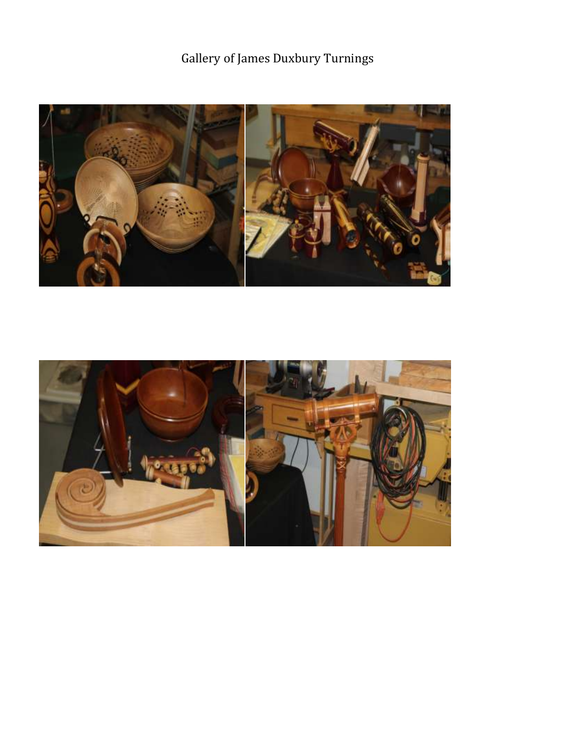# Gallery of James Duxbury Turnings



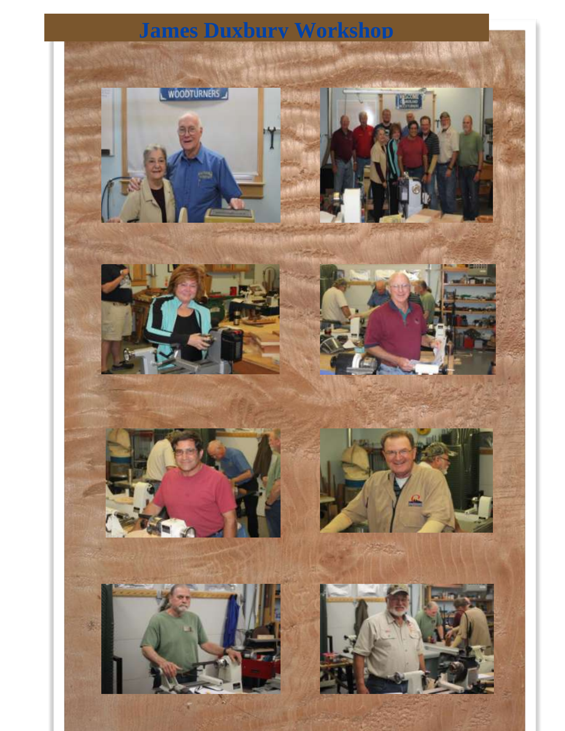